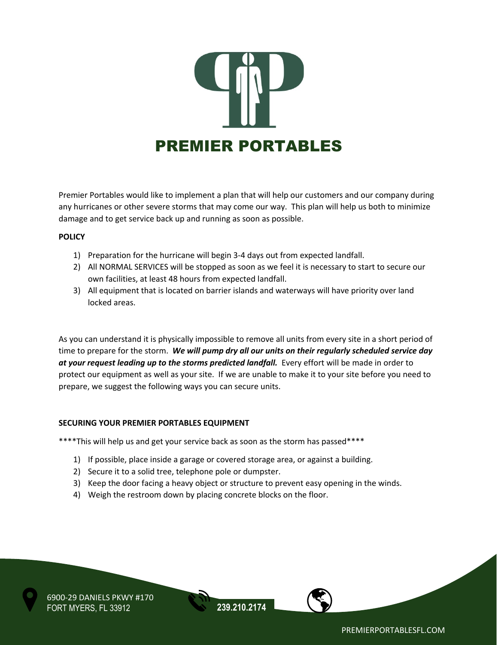

Premier Portables would like to implement a plan that will help our customers and our company during any hurricanes or other severe storms that may come our way. This plan will help us both to minimize damage and to get service back up and running as soon as possible.

## **POLICY**

- 1) Preparation for the hurricane will begin 3-4 days out from expected landfall.
- 2) All NORMAL SERVICES will be stopped as soon as we feel it is necessary to start to secure our own facilities, at least 48 hours from expected landfall.
- 3) All equipment that is located on barrier islands and waterways will have priority over land locked areas.

As you can understand it is physically impossible to remove all units from every site in a short period of time to prepare for the storm. *We will pump dry all our units on their regularly scheduled service day*  at your request leading up to the storms predicted landfall. Every effort will be made in order to protect our equipment as well as your site. If we are unable to make it to your site before you need to prepare, we suggest the following ways you can secure units.

## **SECURING YOUR PREMIER PORTABLES EQUIPMENT**

\*\*\*\*This will help us and get your service back as soon as the storm has passed\*\*\*\*

- 1) If possible, place inside a garage or covered storage area, or against a building.
- 2) Secure it to a solid tree, telephone pole or dumpster.
- 3) Keep the door facing a heavy object or structure to prevent easy opening in the winds.
- 4) Weigh the restroom down by placing concrete blocks on the floor.